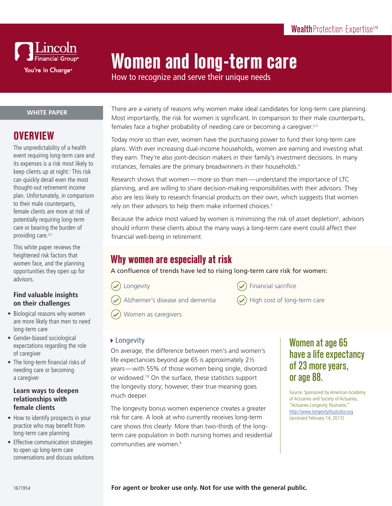

# **Women and long-term care**

How to recognize and serve their unique needs

#### **WHITE PAPER**

# **OVERVIEW**

The unpredictability of a health event requiring long-term care and its expenses is a risk most likely to keep clients up at night.<sup>1</sup> This risk can quickly derail even the most thought-out retirement income plan. Unfortunately, in comparison to their male counterparts, female clients are more at risk of potentially requiring long-term care or bearing the burden of providing care.<sup>2,3</sup>

This white paper reviews the heightened risk factors that women face, and the planning opportunities they open up for advisors.

#### **Find valuable insights on their challenges**

- Biological reasons why women are more likely than men to need long-term care
- Gender-biased sociological expectations regarding the role of caregiver
- The long-term financial risks of needing care or becoming a caregiver

#### **Learn ways to deepen relationships with female clients**

- How to identify prospects in your practice who may benefit from long-term care planning
- Effective communication strategies to open up long-term care conversations and discuss solutions

There are a variety of reasons why women make ideal candidates for long-term care planning. Most importantly, the risk for women is significant. In comparison to their male counterparts, females face a higher probability of needing care or becoming a caregiver.<sup>2,3</sup>

Today more so than ever, women have the purchasing power to fund their long-term care plans. With ever increasing dual-income households, women are earning and investing what they earn. They're also joint-decision makers in their family's investment decisions. In many instances, females are the primary breadwinners in their households.<sup>4</sup>

Research shows that women—more so than men—understand the importance of LTC planning, and are willing to share decision-making responsibilities with their advisors. They also are less likely to research financial products on their own, which suggests that women rely on their advisors to help them make informed choices.<sup>5</sup>

Because the advice most valued by women is minimizing the risk of asset depletion<sup>6</sup>, advisors should inform these clients about the many ways a long-term care event could affect their financial well-being in retirement.

# **Why women are especially at risk**

A confluence of trends have led to rising long-term care risk for women:

Longevity

- 
- Alzheimer's disease and dementia
- Financial sacrifice
- 
- High cost of long-term care

Women as caregivers

#### ▶ Longevity

On average, the difference between men's and women's life expectancies beyond age 65 is approximately 2½ years—with 55% of those women being single, divorced or widowed.<sup>7,8</sup> On the surface, these statistics support the longevity story; however, their true meaning goes much deeper.

The longevity bonus women experience creates a greater risk for care. A look at who currently receives long-term care shows this clearly: More than two-thirds of the longterm care population in both nursing homes and residential communities are women.<sup>9</sup>

# Women at age 65 have a life expectancy of 23 more years, or age 88.

Source: Sponsored by American Academy of Actuaries and Society of Actuaries, "Actuaries Longevity Illustrator," <http://www.longevityillustrator.org> (accessed February 14, 2017).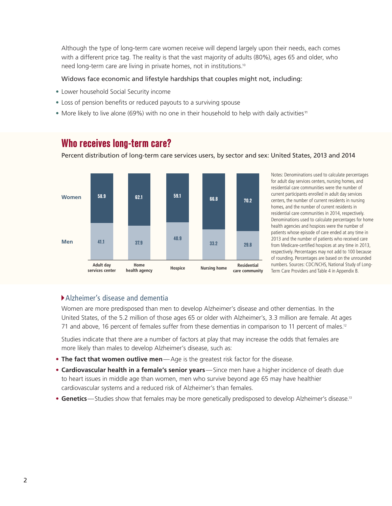Although the type of long-term care women receive will depend largely upon their needs, each comes with a different price tag. The reality is that the vast majority of adults (80%), ages 65 and older, who need long-term care are living in private homes, not in institutions.10

Percent distribution of long-term care services users, by sector and sex: United States, 2013 and 2014

#### Widows face economic and lifestyle hardships that couples might not, including:

- Lower household Social Security income
- Loss of pension benefits or reduced payouts to a surviving spouse
- More likely to live alone (69%) with no one in their household to help with daily activities<sup>11</sup>



**Who receives long-term care?**

Notes: Denominations used to calculate percentages for adult day services centers, nursing homes, and residential care communities were the number of current participants enrolled in adult day services centers, the number of current residents in nursing homes, and the number of current residents in residential care communities in 2014, respectively. Denominations used to calculate percentages for home health agencies and hospices were the number of patients whose episode of care ended at any time in 2013 and the number of patients who received care

from Medicare-certified hospices at any time in 2013, respectively. Percentages may not add to 100 because of rounding. Percentages are based on the unrounded numbers. Sources: CDC/NCHS, National Study of Long-Term Care Providers and Table 4 in Appendix B.

#### Alzheimer's disease and dementia

Women are more predisposed than men to develop Alzheimer's disease and other dementias. In the United States, of the 5.2 million of those ages 65 or older with Alzheimer's, 3.3 million are female. At ages 71 and above, 16 percent of females suffer from these dementias in comparison to 11 percent of males.<sup>12</sup>

Studies indicate that there are a number of factors at play that may increase the odds that females are more likely than males to develop Alzheimer's disease, such as:

- **• The fact that women outlive men**—Age is the greatest risk factor for the disease.
- **• Cardiovascular health in a female's senior years**—Since men have a higher incidence of death due to heart issues in middle age than women, men who survive beyond age 65 may have healthier cardiovascular systems and a reduced risk of Alzheimer's than females.
- **• Genetics**—Studies show that females may be more genetically predisposed to develop Alzheimer's disease.13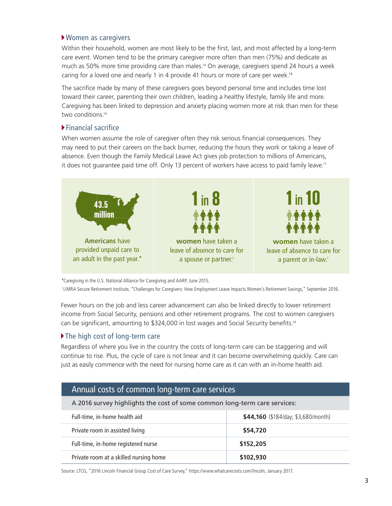#### Women as caregivers

Within their household, women are most likely to be the first, last, and most affected by a long-term care event. Women tend to be the primary caregiver more often than men (75%) and dedicate as much as 50% more time providing care than males.14 On average, caregivers spend 24 hours a week caring for a loved one and nearly 1 in 4 provide 41 hours or more of care per week.<sup>15</sup>

The sacrifice made by many of these caregivers goes beyond personal time and includes time lost toward their career, parenting their own children, leading a healthy lifestyle, family life and more. Caregiving has been linked to depression and anxiety placing women more at risk than men for these two conditions.<sup>16</sup>

#### Financial sacrifice

When women assume the role of caregiver often they risk serious financial consequences. They may need to put their careers on the back burner, reducing the hours they work or taking a leave of absence. Even though the Family Medical Leave Act gives job protection to millions of Americans, it does not guarantee paid time off. Only 13 percent of workers have access to paid family leave.<sup>17</sup>



\*Caregiving in the U.S. National Alliance for Caregiving and AARP, June 2015.

† LIMRA Secure Retirement Institute, "Challenges for Caregivers: How Employment Leave Impacts Women's Retirement Savings," September 2016.

Fewer hours on the job and less career advancement can also be linked directly to lower retirement income from Social Security, pensions and other retirement programs. The cost to women caregivers can be significant, amounting to \$324,000 in lost wages and Social Security benefits.18

#### The high cost of long-term care

Regardless of where you live in the country the costs of long-term care can be staggering and will continue to rise. Plus, the cycle of care is not linear and it can become overwhelming quickly. Care can just as easily commence with the need for nursing home care as it can with an in-home health aid.

| Annual costs of common long-term care services                            |                                     |  |
|---------------------------------------------------------------------------|-------------------------------------|--|
| A 2016 survey highlights the cost of some common long-term care services: |                                     |  |
| Full-time, in-home health aid                                             | \$44,160 (\$184/day; \$3,680/month) |  |
| Private room in assisted living                                           | \$54,720                            |  |
| Full-time, in-home registered nurse                                       | \$152,205                           |  |
| Private room at a skilled nursing home                                    | \$102,930                           |  |

Source: LTCG, "2016 Lincoln Financial Group Cost of Care Survey," https://www.whatcarecosts.com/lincoln, January 2017.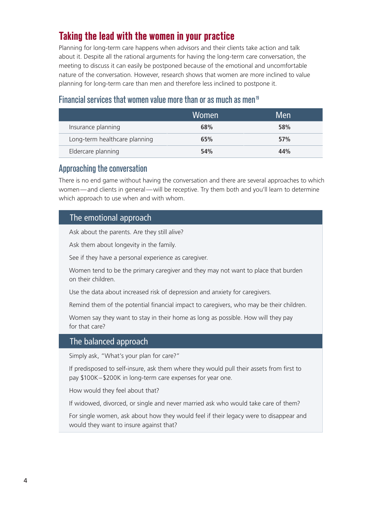# **Taking the lead with the women in your practice**

Planning for long-term care happens when advisors and their clients take action and talk about it. Despite all the rational arguments for having the long-term care conversation, the meeting to discuss it can easily be postponed because of the emotional and uncomfortable nature of the conversation. However, research shows that women are more inclined to value planning for long-term care than men and therefore less inclined to postpone it.

## Financial services that women value more than or as much as men<sup>19</sup>

|                               | Women | Men |
|-------------------------------|-------|-----|
| Insurance planning            | 68%   | 58% |
| Long-term healthcare planning | 65%   | 57% |
| Eldercare planning            | 54%   | 44% |

## Approaching the conversation

There is no end game without having the conversation and there are several approaches to which women—and clients in general—will be receptive. Try them both and you'll learn to determine which approach to use when and with whom.

## The emotional approach

Ask about the parents. Are they still alive?

Ask them about longevity in the family.

See if they have a personal experience as caregiver.

Women tend to be the primary caregiver and they may not want to place that burden on their children.

Use the data about increased risk of depression and anxiety for caregivers.

Remind them of the potential financial impact to caregivers, who may be their children.

Women say they want to stay in their home as long as possible. How will they pay for that care?

## The balanced approach

Simply ask, "What's your plan for care?"

If predisposed to self-insure, ask them where they would pull their assets from first to pay \$100K–\$200K in long-term care expenses for year one.

How would they feel about that?

If widowed, divorced, or single and never married ask who would take care of them?

For single women, ask about how they would feel if their legacy were to disappear and would they want to insure against that?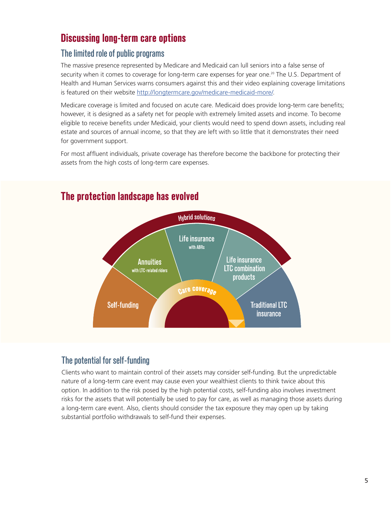# **Discussing long-term care options**

## The limited role of public programs

The massive presence represented by Medicare and Medicaid can lull seniors into a false sense of security when it comes to coverage for long-term care expenses for year one.<sup>20</sup> The U.S. Department of Health and Human Services warns consumers against this and their video explaining coverage limitations is featured on their website <http://longtermcare.gov/medicare-medicaid-more/>.

Medicare coverage is limited and focused on acute care. Medicaid does provide long-term care benefits; however, it is designed as a safety net for people with extremely limited assets and income. To become eligible to receive benefits under Medicaid, your clients would need to spend down assets, including real estate and sources of annual income, so that they are left with so little that it demonstrates their need for government support.

For most affluent individuals, private coverage has therefore become the backbone for protecting their assets from the high costs of long-term care expenses.



# **The protection landscape has evolved**

# The potential for self-funding

Clients who want to maintain control of their assets may consider self-funding. But the unpredictable nature of a long-term care event may cause even your wealthiest clients to think twice about this option. In addition to the risk posed by the high potential costs, self-funding also involves investment risks for the assets that will potentially be used to pay for care, as well as managing those assets during a long-term care event. Also, clients should consider the tax exposure they may open up by taking substantial portfolio withdrawals to self-fund their expenses.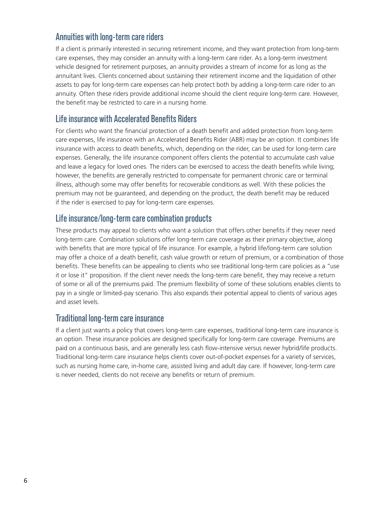## Annuities with long-term care riders

If a client is primarily interested in securing retirement income, and they want protection from long-term care expenses, they may consider an annuity with a long-term care rider. As a long-term investment vehicle designed for retirement purposes, an annuity provides a stream of income for as long as the annuitant lives. Clients concerned about sustaining their retirement income and the liquidation of other assets to pay for long-term care expenses can help protect both by adding a long-term care rider to an annuity. Often these riders provide additional income should the client require long-term care. However, the benefit may be restricted to care in a nursing home.

## Life insurance with Accelerated Benefits Riders

For clients who want the financial protection of a death benefit and added protection from long-term care expenses, life insurance with an Accelerated Benefits Rider (ABR) may be an option. It combines life insurance with access to death benefits, which, depending on the rider, can be used for long-term care expenses. Generally, the life insurance component offers clients the potential to accumulate cash value and leave a legacy for loved ones. The riders can be exercised to access the death benefits while living; however, the benefits are generally restricted to compensate for permanent chronic care or terminal illness, although some may offer benefits for recoverable conditions as well. With these policies the premium may not be guaranteed, and depending on the product, the death benefit may be reduced if the rider is exercised to pay for long-term care expenses.

## Life insurance/long-term care combination products

These products may appeal to clients who want a solution that offers other benefits if they never need long-term care. Combination solutions offer long-term care coverage as their primary objective, along with benefits that are more typical of life insurance. For example, a hybrid life/long-term care solution may offer a choice of a death benefit, cash value growth or return of premium, or a combination of those benefits. These benefits can be appealing to clients who see traditional long-term care policies as a "use it or lose it" proposition. If the client never needs the long-term care benefit, they may receive a return of some or all of the premiums paid. The premium flexibility of some of these solutions enables clients to pay in a single or limited-pay scenario. This also expands their potential appeal to clients of various ages and asset levels.

## Traditional long-term care insurance

If a client just wants a policy that covers long-term care expenses, traditional long-term care insurance is an option. These insurance policies are designed specifically for long-term care coverage. Premiums are paid on a continuous basis, and are generally less cash flow-intensive versus newer hybrid/life products. Traditional long-term care insurance helps clients cover out-of-pocket expenses for a variety of services, such as nursing home care, in-home care, assisted living and adult day care. If however, long-term care is never needed, clients do not receive any benefits or return of premium.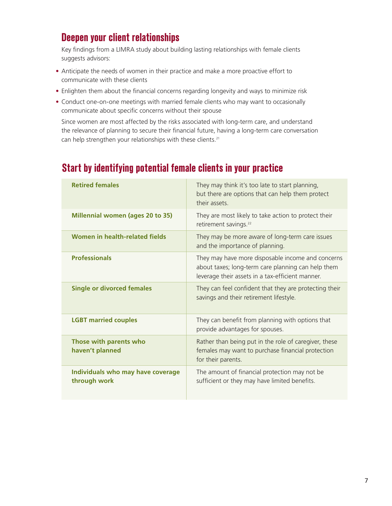# **Deepen your client relationships**

Key findings from a LIMRA study about building lasting relationships with female clients suggests advisors:

- Anticipate the needs of women in their practice and make a more proactive effort to communicate with these clients
- Enlighten them about the financial concerns regarding longevity and ways to minimize risk
- Conduct one-on-one meetings with married female clients who may want to occasionally communicate about specific concerns without their spouse

Since women are most affected by the risks associated with long-term care, and understand the relevance of planning to secure their financial future, having a long-term care conversation can help strengthen your relationships with these clients.<sup>21</sup>

| <b>Retired females</b>                            | They may think it's too late to start planning,<br>but there are options that can help them protect<br>their assets.                                        |
|---------------------------------------------------|-------------------------------------------------------------------------------------------------------------------------------------------------------------|
| <b>Millennial women (ages 20 to 35)</b>           | They are most likely to take action to protect their<br>retirement savings. <sup>22</sup>                                                                   |
| Women in health-related fields                    | They may be more aware of long-term care issues<br>and the importance of planning.                                                                          |
| <b>Professionals</b>                              | They may have more disposable income and concerns<br>about taxes; long-term care planning can help them<br>leverage their assets in a tax-efficient manner. |
| <b>Single or divorced females</b>                 | They can feel confident that they are protecting their<br>savings and their retirement lifestyle.                                                           |
| <b>LGBT married couples</b>                       | They can benefit from planning with options that<br>provide advantages for spouses.                                                                         |
| Those with parents who<br>haven't planned         | Rather than being put in the role of caregiver, these<br>females may want to purchase financial protection<br>for their parents.                            |
| Individuals who may have coverage<br>through work | The amount of financial protection may not be<br>sufficient or they may have limited benefits.                                                              |

# **Start by identifying potential female clients in your practice**